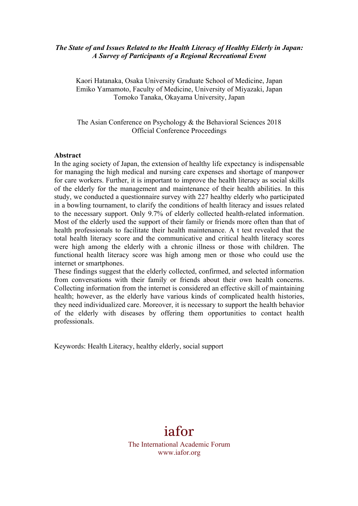## *The State of and Issues Related to the Health Literacy of Healthy Elderly in Japan: A Survey of Participants of a Regional Recreational Event*

Kaori Hatanaka, Osaka University Graduate School of Medicine, Japan Emiko Yamamoto, Faculty of Medicine, University of Miyazaki, Japan Tomoko Tanaka, Okayama University, Japan

The Asian Conference on Psychology & the Behavioral Sciences 2018 Official Conference Proceedings

#### **Abstract**

In the aging society of Japan, the extension of healthy life expectancy is indispensable for managing the high medical and nursing care expenses and shortage of manpower for care workers. Further, it is important to improve the health literacy as social skills of the elderly for the management and maintenance of their health abilities. In this study, we conducted a questionnaire survey with 227 healthy elderly who participated in a bowling tournament, to clarify the conditions of health literacy and issues related to the necessary support. Only 9.7% of elderly collected health-related information. Most of the elderly used the support of their family or friends more often than that of health professionals to facilitate their health maintenance. A t test revealed that the total health literacy score and the communicative and critical health literacy scores were high among the elderly with a chronic illness or those with children. The functional health literacy score was high among men or those who could use the internet or smartphones.

These findings suggest that the elderly collected, confirmed, and selected information from conversations with their family or friends about their own health concerns. Collecting information from the internet is considered an effective skill of maintaining health; however, as the elderly have various kinds of complicated health histories, they need individualized care. Moreover, it is necessary to support the health behavior of the elderly with diseases by offering them opportunities to contact health professionals.

Keywords: Health Literacy, healthy elderly, social support

# iafor

The International Academic Forum www.iafor.org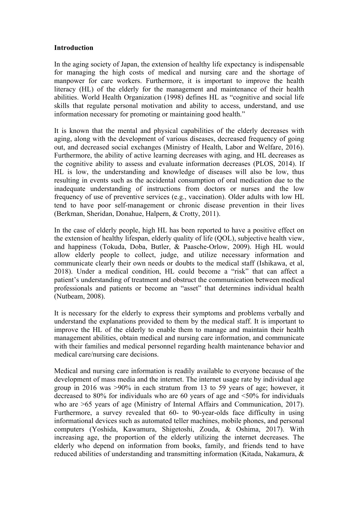#### **Introduction**

In the aging society of Japan, the extension of healthy life expectancy is indispensable for managing the high costs of medical and nursing care and the shortage of manpower for care workers. Furthermore, it is important to improve the health literacy (HL) of the elderly for the management and maintenance of their health abilities. World Health Organization (1998) defines HL as "cognitive and social life skills that regulate personal motivation and ability to access, understand, and use information necessary for promoting or maintaining good health."

It is known that the mental and physical capabilities of the elderly decreases with aging, along with the development of various diseases, decreased frequency of going out, and decreased social exchanges (Ministry of Health, Labor and Welfare, 2016). Furthermore, the ability of active learning decreases with aging, and HL decreases as the cognitive ability to assess and evaluate information decreases (PLOS, 2014). If HL is low, the understanding and knowledge of diseases will also be low, thus resulting in events such as the accidental consumption of oral medication due to the inadequate understanding of instructions from doctors or nurses and the low frequency of use of preventive services (e.g., vaccination). Older adults with low HL tend to have poor self-management or chronic disease prevention in their lives (Berkman, Sheridan, Donahue, Halpern, & Crotty, 2011).

In the case of elderly people, high HL has been reported to have a positive effect on the extension of healthy lifespan, elderly quality of life (QOL), subjective health view, and happiness (Tokuda, Doba, Butler, & Paasche-Orlow, 2009). High HL would allow elderly people to collect, judge, and utilize necessary information and communicate clearly their own needs or doubts to the medical staff (Ishikawa, et al, 2018). Under a medical condition, HL could become a "risk" that can affect a patient's understanding of treatment and obstruct the communication between medical professionals and patients or become an "asset" that determines individual health (Nutbeam, 2008).

It is necessary for the elderly to express their symptoms and problems verbally and understand the explanations provided to them by the medical staff. It is important to improve the HL of the elderly to enable them to manage and maintain their health management abilities, obtain medical and nursing care information, and communicate with their families and medical personnel regarding health maintenance behavior and medical care/nursing care decisions.

Medical and nursing care information is readily available to everyone because of the development of mass media and the internet. The internet usage rate by individual age group in 2016 was >90% in each stratum from 13 to 59 years of age; however, it decreased to 80% for individuals who are 60 years of age and <50% for individuals who are  $>65$  years of age (Ministry of Internal Affairs and Communication, 2017). Furthermore, a survey revealed that 60- to 90-year-olds face difficulty in using informational devices such as automated teller machines, mobile phones, and personal computers (Yoshida, Kawamura, Shigetoshi, Zouda, & Oshima, 2017). With increasing age, the proportion of the elderly utilizing the internet decreases. The elderly who depend on information from books, family, and friends tend to have reduced abilities of understanding and transmitting information (Kitada, Nakamura, &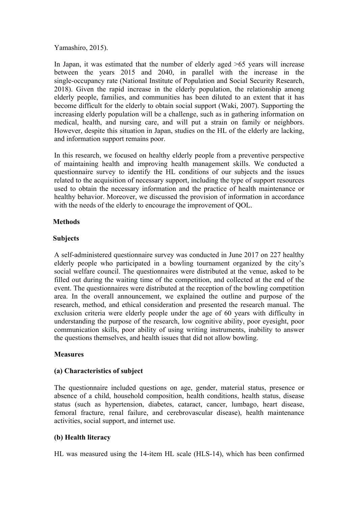Yamashiro, 2015).

In Japan, it was estimated that the number of elderly aged >65 years will increase between the years 2015 and 2040, in parallel with the increase in the single-occupancy rate (National Institute of Population and Social Security Research, 2018). Given the rapid increase in the elderly population, the relationship among elderly people, families, and communities has been diluted to an extent that it has become difficult for the elderly to obtain social support (Waki, 2007). Supporting the increasing elderly population will be a challenge, such as in gathering information on medical, health, and nursing care, and will put a strain on family or neighbors. However, despite this situation in Japan, studies on the HL of the elderly are lacking, and information support remains poor.

In this research, we focused on healthy elderly people from a preventive perspective of maintaining health and improving health management skills. We conducted a questionnaire survey to identify the HL conditions of our subjects and the issues related to the acquisition of necessary support, including the type of support resources used to obtain the necessary information and the practice of health maintenance or healthy behavior. Moreover, we discussed the provision of information in accordance with the needs of the elderly to encourage the improvement of QOL.

# **Methods**

## **Subjects**

A self-administered questionnaire survey was conducted in June 2017 on 227 healthy elderly people who participated in a bowling tournament organized by the city's social welfare council. The questionnaires were distributed at the venue, asked to be filled out during the waiting time of the competition, and collected at the end of the event. The questionnaires were distributed at the reception of the bowling competition area. In the overall announcement, we explained the outline and purpose of the research, method, and ethical consideration and presented the research manual. The exclusion criteria were elderly people under the age of 60 years with difficulty in understanding the purpose of the research, low cognitive ability, poor eyesight, poor communication skills, poor ability of using writing instruments, inability to answer the questions themselves, and health issues that did not allow bowling.

# **Measures**

# **(a) Characteristics of subject**

The questionnaire included questions on age, gender, material status, presence or absence of a child, household composition, health conditions, health status, disease status (such as hypertension, diabetes, cataract, cancer, lumbago, heart disease, femoral fracture, renal failure, and cerebrovascular disease), health maintenance activities, social support, and internet use.

# **(b) Health literacy**

HL was measured using the 14-item HL scale (HLS-14), which has been confirmed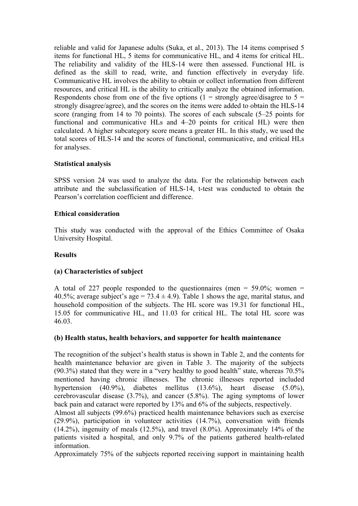reliable and valid for Japanese adults (Suka, et al., 2013). The 14 items comprised 5 items for functional HL, 5 items for communicative HL, and 4 items for critical HL. The reliability and validity of the HLS-14 were then assessed. Functional HL is defined as the skill to read, write, and function effectively in everyday life. Communicative HL involves the ability to obtain or collect information from different resources, and critical HL is the ability to critically analyze the obtained information. Respondents chose from one of the five options (1 = strongly agree/disagree to  $5 =$ strongly disagree/agree), and the scores on the items were added to obtain the HLS-14 score (ranging from 14 to 70 points). The scores of each subscale (5–25 points for functional and communicative HLs and 4–20 points for critical HL) were then calculated. A higher subcategory score means a greater HL. In this study, we used the total scores of HLS-14 and the scores of functional, communicative, and critical HLs for analyses.

## **Statistical analysis**

SPSS version 24 was used to analyze the data. For the relationship between each attribute and the subclassification of HLS-14, t-test was conducted to obtain the Pearson's correlation coefficient and difference.

## **Ethical consideration**

This study was conducted with the approval of the Ethics Committee of Osaka University Hospital.

#### **Results**

# **(a) Characteristics of subject**

A total of 227 people responded to the questionnaires (men =  $59.0\%$ ; women = 40.5%; average subject's age = 73.4  $\pm$  4.9). Table 1 shows the age, marital status, and household composition of the subjects. The HL score was 19.31 for functional HL, 15.05 for communicative HL, and 11.03 for critical HL. The total HL score was 46.03.

#### **(b) Health status, health behaviors, and supporter for health maintenance**

The recognition of the subject's health status is shown in Table 2, and the contents for health maintenance behavior are given in Table 3. The majority of the subjects (90.3%) stated that they were in a "very healthy to good health" state, whereas 70.5% mentioned having chronic illnesses. The chronic illnesses reported included hypertension (40.9%), diabetes mellitus (13.6%), heart disease (5.0%), cerebrovascular disease (3.7%), and cancer (5.8%). The aging symptoms of lower back pain and cataract were reported by 13% and 6% of the subjects, respectively.

Almost all subjects (99.6%) practiced health maintenance behaviors such as exercise (29.9%), participation in volunteer activities (14.7%), conversation with friends (14.2%), ingenuity of meals (12.5%), and travel (8.0%). Approximately 14% of the patients visited a hospital, and only 9.7% of the patients gathered health-related information.

Approximately 75% of the subjects reported receiving support in maintaining health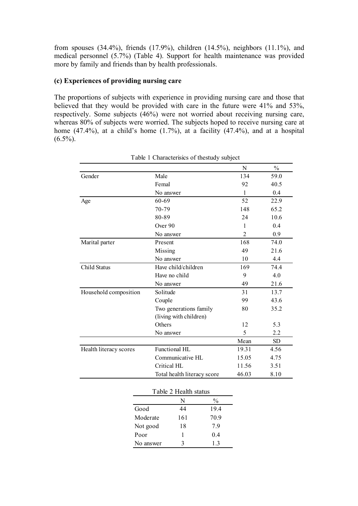from spouses (34.4%), friends (17.9%), children (14.5%), neighbors (11.1%), and medical personnel (5.7%) (Table 4). Support for health maintenance was provided more by family and friends than by health professionals.

#### **(c) Experiences of providing nursing care**

The proportions of subjects with experience in providing nursing care and those that believed that they would be provided with care in the future were 41% and 53%, respectively. Some subjects (46%) were not worried about receiving nursing care, whereas 80% of subjects were worried. The subjects hoped to receive nursing care at home  $(47.4\%)$ , at a child's home  $(1.7\%)$ , at a facility  $(47.4\%)$ , and at a hospital  $(6.5\%)$ .

| 59.0<br>40.5<br>0.4<br>22.9<br>65.2<br>10.6<br>0.4<br>0.9<br>74.0<br>21.6 |
|---------------------------------------------------------------------------|
|                                                                           |
|                                                                           |
|                                                                           |
|                                                                           |
|                                                                           |
|                                                                           |
|                                                                           |
|                                                                           |
|                                                                           |
|                                                                           |
| 4.4                                                                       |
| 74.4                                                                      |
| 4.0                                                                       |
| 21.6                                                                      |
| 13.7                                                                      |
| 43.6                                                                      |
| 35.2                                                                      |
|                                                                           |
| 5.3                                                                       |
| 2.2                                                                       |
| Mean<br><b>SD</b>                                                         |
| 4.56                                                                      |
| 15.05<br>4.75                                                             |
| 11.56<br>3.51                                                             |
| 8.10                                                                      |
|                                                                           |
|                                                                           |
| 19.31<br>46.03                                                            |

Table 1 Characterisics of thestudy subject

| I able 2 Health status |     |               |  |  |  |  |  |
|------------------------|-----|---------------|--|--|--|--|--|
|                        | N   | $\frac{0}{0}$ |  |  |  |  |  |
| Good                   | 44  | 19.4          |  |  |  |  |  |
| Moderate               | 161 | 70.9          |  |  |  |  |  |
| Not good               | 18  | 79            |  |  |  |  |  |
| Poor                   |     | 0.4           |  |  |  |  |  |
| No answer              | 3   | 13            |  |  |  |  |  |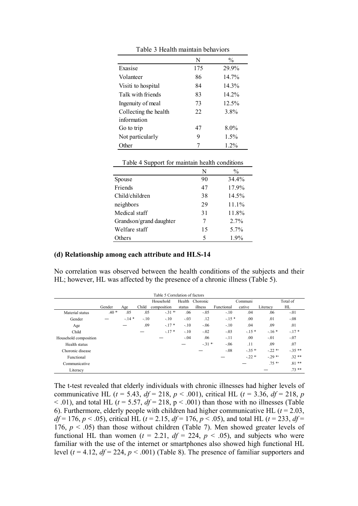|                       | N   | $\frac{0}{0}$ |
|-----------------------|-----|---------------|
| Exasise               | 175 | 29.9%         |
| Volanteer             | 86  | $14.7\%$      |
| Visiti to hospital    | 84  | 14.3%         |
| Talk with friends     | 83  | 14.2%         |
| Ingenuity of meal     | 73  | 12.5%         |
| Collecting the health | 22  | 3.8%          |
| information           |     |               |
| Go to trip            | 47  | $8.0\%$       |
| Not particularly      | 9   | 1.5%          |
| Other                 |     | $1.2\%$       |

Table 3 Health maintain behaviors

Table 4 Support for maintain health conditions

|                         | N  | $\frac{0}{0}$ |
|-------------------------|----|---------------|
| Spouse                  | 90 | 34.4%         |
| Friends                 | 47 | 17.9%         |
| Child/children          | 38 | 14.5%         |
| neighbors               | 29 | $11.1\%$      |
| Medical staff           | 31 | 11.8%         |
| Grandson/grand daughter | 7  | $2.7\%$       |
| Welfare staff           | 15 | $5.7\%$       |
| Others                  | 5  | 1.9%          |

#### **(d) Relationship among each attribute and HLS-14**

No correlation was observed between the health conditions of the subjects and their HL; however, HL was affected by the presence of a chronic illness (Table 5).

| Table 5 Correlation of factors |        |        |        |             |        |          |            |          |          |          |
|--------------------------------|--------|--------|--------|-------------|--------|----------|------------|----------|----------|----------|
|                                |        |        |        | Household   | Health | Choronic |            | Communi  |          | Total of |
|                                | Gender | Age    | Child  | composition | status | illness  | Functional | cative   | Literacy | HL       |
| Material status                | $.40*$ | .05    | .05    | $-31$ *     | .06    | $-.05$   | $-.10$     | .04      | .06      | $-.01$   |
| Gender                         |        | $-14*$ | $-.10$ | $-.10$      | $-.03$ | .12      | $-15*$     | .00      | .01      | $-.08$   |
| Age                            |        |        | .09    | $-.17*$     | $-.10$ | $-.06$   | $-.10$     | .04      | .09      | .01      |
| Child                          |        |        |        | $-17*$      | $-.10$ | $-.02$   | $-.03$     | $-15*$   | $-16*$   | $-17*$   |
| Household composition          |        |        |        |             | $-.04$ | .06      | $-11$      | .00.     | $-.01$   | $-.07$   |
| Health status                  |        |        |        |             |        | $-31*$   | $-.06$     | .11      | .09      | .07      |
| Choronic disease               |        |        |        |             |        |          | $-0.08$    | $-35$ *  | $-22$ *  | $-35**$  |
| Functional                     |        |        |        |             |        |          |            | $-.22$ * | $-29$ *  | $32**$   |
| Communicative                  |        |        |        |             |        |          |            |          | $.75$ *  | $.81**$  |
| Literacy                       |        |        |        |             |        |          |            |          |          | $73**$   |

The t-test revealed that elderly individuals with chronic illnesses had higher levels of communicative HL ( $t = 5.43$ ,  $df = 218$ ,  $p < .001$ ), critical HL ( $t = 3.36$ ,  $df = 218$ ,  $p$  $<$  0.01), and total HL ( $t = 5.57$ ,  $df = 218$ ,  $p < 0.001$ ) than those with no illnesses (Table 6). Furthermore, elderly people with children had higher communicative HL  $(t = 2.03)$ , *df* = 176, *p* < .05), critical HL (*t* = 2.15, *df* = 176, *p* < .05), and total HL (*t* = 233, *df* = 176,  $p < .05$ ) than those without children (Table 7). Men showed greater levels of functional HL than women ( $t = 2.21$ ,  $df = 224$ ,  $p < .05$ ), and subjects who were familiar with the use of the internet or smartphones also showed high functional HL level  $(t = 4.12, df = 224, p < .001)$  (Table 8). The presence of familiar supporters and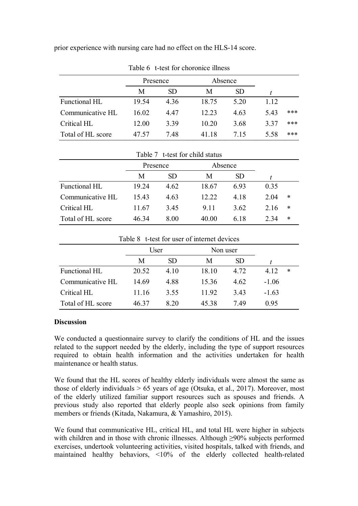prior experience with nursing care had no effect on the HLS-14 score.

|                   | Presence |           | Absence |           |      |     |
|-------------------|----------|-----------|---------|-----------|------|-----|
|                   | М        | <b>SD</b> | M       | <b>SD</b> |      |     |
| Functional HL     | 19.54    | 4.36      | 18.75   | 5 20      | 1.12 |     |
| Communicative HL  | 16.02    | 447       | 12.23   | 4.63      | 5.43 | *** |
| Critical HL       | 12.00    | 3.39      | 10.20   | 3.68      | 3.37 | *** |
| Total of HL score | 47.57    | 7 48      | 41 18   | 715       | 5.58 | *** |

Table 6 t-test for choronice illness

|                   | Presence |      | Absence |           |      |        |  |  |
|-------------------|----------|------|---------|-----------|------|--------|--|--|
|                   | M        | SD.  | M       | <b>SD</b> |      |        |  |  |
| Functional HL     | 19.24    | 4.62 | 18.67   | 693       | 0.35 |        |  |  |
| Communicative HL  | 15.43    | 4.63 | 12 22   | 4 1 8     | 204  | $\ast$ |  |  |
| Critical HL       | 11.67    | 3.45 | 9 1 1   | 3.62      | 2.16 | $\ast$ |  |  |
| Total of HL score | 46 34    | 8.00 | 40.00   | 6 18      | 2 34 | $\ast$ |  |  |

|                   | Table 8 t-test for user of internet devices |                 |       |           |         |        |
|-------------------|---------------------------------------------|-----------------|-------|-----------|---------|--------|
|                   | User<br>Non user                            |                 |       |           |         |        |
|                   | M                                           | SD <sub>1</sub> | M     | <b>SD</b> |         |        |
| Functional HL     | 20.52                                       | 4.10            | 18 10 | 4.72      | 4.12    | $\ast$ |
| Communicative HL  | 14.69                                       | 4.88            | 1536  | 4.62      | $-1.06$ |        |
| Critical HL       | 11.16                                       | 3.55            | 11.92 | 3.43      | $-1.63$ |        |
| Total of HL score | 46 37                                       | 8 20            | 4538  | 749       | 0.95    |        |

# **Discussion**

We conducted a questionnaire survey to clarify the conditions of HL and the issues related to the support needed by the elderly, including the type of support resources required to obtain health information and the activities undertaken for health maintenance or health status.

We found that the HL scores of healthy elderly individuals were almost the same as those of elderly individuals > 65 years of age (Otsuka, et al., 2017). Moreover, most of the elderly utilized familiar support resources such as spouses and friends. A previous study also reported that elderly people also seek opinions from family members or friends (Kitada, Nakamura, & Yamashiro, 2015).

We found that communicative HL, critical HL, and total HL were higher in subjects with children and in those with chronic illnesses. Although ≥90% subjects performed exercises, undertook volunteering activities, visited hospitals, talked with friends, and maintained healthy behaviors, <10% of the elderly collected health-related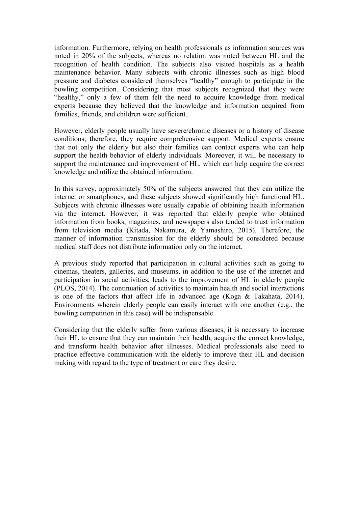information. Furthermore, relying on health professionals as information sources was noted in 20% of the subjects, whereas no relation was noted between HL and the recognition of health condition. The subjects also visited hospitals as a health maintenance behavior. Many subjects with chronic illnesses such as high blood pressure and diabetes considered themselves "healthy" enough to participate in the bowling competition. Considering that most subjects recognized that they were "healthy," only a few of them felt the need to acquire knowledge from medical experts because they believed that the knowledge and information acquired from families, friends, and children were sufficient.

However, elderly people usually have severe/chronic diseases or a history of disease conditions; therefore, they require comprehensive support. Medical experts ensure that not only the elderly but also their families can contact experts who can help support the health behavior of elderly individuals. Moreover, it will be necessary to support the maintenance and improvement of HL, which can help acquire the correct knowledge and utilize the obtained information.

In this survey, approximately 50% of the subjects answered that they can utilize the internet or smartphones, and these subjects showed significantly high functional HL. Subjects with chronic illnesses were usually capable of obtaining health information via the internet. However, it was reported that elderly people who obtained information from books, magazines, and newspapers also tended to trust information from television media (Kitada, Nakamura, & Yamashiro, 2015). Therefore, the manner of information transmission for the elderly should be considered because medical staff does not distribute information only on the internet.

A previous study reported that participation in cultural activities such as going to cinemas, theaters, galleries, and museums, in addition to the use of the internet and participation in social activities, leads to the improvement of HL in elderly people (PLOS, 2014). The continuation of activities to maintain health and social interactions is one of the factors that affect life in advanced age (Koga & Takahata, 2014). Environments wherein elderly people can easily interact with one another (e.g., the bowling competition in this case) will be indispensable.

Considering that the elderly suffer from various diseases, it is necessary to increase their HL to ensure that they can maintain their health, acquire the correct knowledge, and transform health behavior after illnesses. Medical professionals also need to practice effective communication with the elderly to improve their HL and decision making with regard to the type of treatment or care they desire.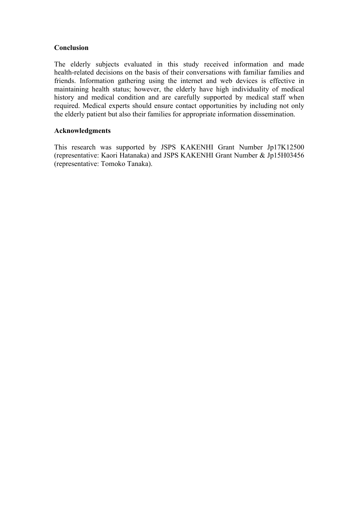## **Conclusion**

The elderly subjects evaluated in this study received information and made health-related decisions on the basis of their conversations with familiar families and friends. Information gathering using the internet and web devices is effective in maintaining health status; however, the elderly have high individuality of medical history and medical condition and are carefully supported by medical staff when required. Medical experts should ensure contact opportunities by including not only the elderly patient but also their families for appropriate information dissemination.

## **Acknowledgments**

This research was supported by JSPS KAKENHI Grant Number Jp17K12500 (representative: Kaori Hatanaka) and JSPS KAKENHI Grant Number & Jp15H03456 (representative: Tomoko Tanaka).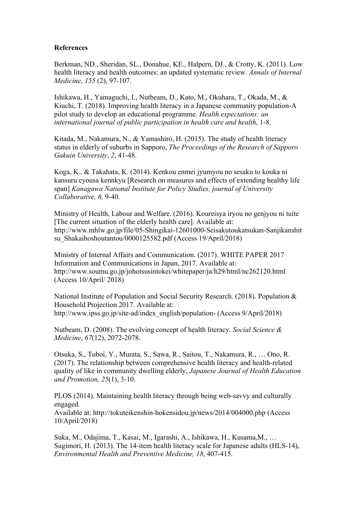#### **References**

Berkman, ND., Sheridan, SL., Donahue, KE., Halpern, DJ., & Crotty, K. (2011). Low health literacy and health outcomes: an updated systematic review. *Annals of Internal Medicine*, *155* (2), 97-107.

Ishikawa, H., Yamaguchi, I., Nutbeam, D., Kato, M., Okuhara, T., Okada, M., & Kiuchi, T. (2018). Improving health literacy in a Japanese community population-A pilot study to develop an educational programme. *Health expectations: an international journal of public participation in health care and health*, 1-8.

Kitada, M., Nakamura, N., & Yamashiro, H. (2015). The study of health literacy status in elderly of suburbs in Sapporo, *The Proceedings of the Research of Sapporo Gakuin University*, *2*, 41-48.

Koga, K., & Takahata, K. (2014). Kenkou enmei jyumyou no sesaku to kouka ni kansuru cyousa kennkyu [Research on measures and effects of extending healthy life span] *Kanagawa National Institute for Policy Studies, journal of University Collaborative, 6,* 9-40.

Ministry of Health, Labour and Welfare. (2016). Koureisya iryou no genjyou ni tuite [The current situation of the elderly health care]. Available at: http://www.mhlw.go.jp/file/05-Shingikai-12601000-Seisakutoukatsukan-Sanjikanshit su Shakaihoshoutantou/0000125582.pdf (Access 19/April/2018)

Ministry of Internal Affairs and Communication. (2017). WHITE PAPER 2017 Information and Communications in Japan, 2017. Available at: http://www.soumu.go.jp/johotsusintokei/whitepaper/ja/h29/html/nc262120.html (Access 10/April/ 2018)

National Institute of Population and Social Security Research. (2018). Population & Household Projection 2017. Available at: http://www.ipss.go.jp/site-ad/index\_english/population- (Access 9/April/2018)

Nutbeam, D. (2008). The evolving concept of health literacy. *Social Science & Medicine*, *67*(12), 2072-2078.

Otsuka, S., Tuboi, Y., Murata, S., Sawa, R., Saitou, T., Nakamura, R., … Ono, R. (2017). The relationship between comprehensive health literacy and health-related quality of like in community dwelling elderly, *Japanese Journal of Health Education and Promotion, 25*(1), 3-10.

PLOS (2014). Maintaining health literacy through being web-savvy and culturally engaged.

Available at: http://tokuteikenshin-hokensidou.jp/news/2014/004000.php (Access 10/April/2018)

Suka, M., Odajima, T., Kasai, M., Igarashi, A., Ishikawa, H., Kusama,M., … Sugimori, H. (2013). The 14-item health literacy scale for Japanese adults (HLS-14), *Environmental Health and Preventive Medicine, 18*, 407-415.